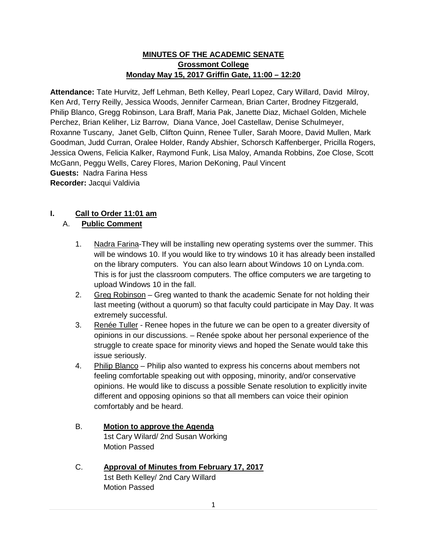### **MINUTES OF THE ACADEMIC SENATE Grossmont College Monday May 15, 2017 Griffin Gate, 11:00 – 12:20**

**Attendance:** Tate Hurvitz, Jeff Lehman, Beth Kelley, Pearl Lopez, Cary Willard, David Milroy, Ken Ard, Terry Reilly, Jessica Woods, Jennifer Carmean, Brian Carter, Brodney Fitzgerald, Philip Blanco, Gregg Robinson, Lara Braff, Maria Pak, Janette Diaz, Michael Golden, Michele Perchez, Brian Keliher, Liz Barrow, Diana Vance, Joel Castellaw, Denise Schulmeyer, Roxanne Tuscany, Janet Gelb, Clifton Quinn, Renee Tuller, Sarah Moore, David Mullen, Mark Goodman, Judd Curran, Oralee Holder, Randy Abshier, Schorsch Kaffenberger, Pricilla Rogers, Jessica Owens, Felicia Kalker, Raymond Funk, Lisa Maloy, Amanda Robbins, Zoe Close, Scott McGann, Peggu Wells, Carey Flores, Marion DeKoning, Paul Vincent **Guests:** Nadra Farina Hess **Recorder:** Jacqui Valdivia

# **I. Call to Order 11:01 am**

## A. **Public Comment**

- 1. Nadra Farina-They will be installing new operating systems over the summer. This will be windows 10. If you would like to try windows 10 it has already been installed on the library computers. You can also learn about Windows 10 on Lynda.com. This is for just the classroom computers. The office computers we are targeting to upload Windows 10 in the fall.
- 2. Greg Robinson Greg wanted to thank the academic Senate for not holding their last meeting (without a quorum) so that faculty could participate in May Day. It was extremely successful.
- 3. Renée Tuller Renee hopes in the future we can be open to a greater diversity of opinions in our discussions. – Renée spoke about her personal experience of the struggle to create space for minority views and hoped the Senate would take this issue seriously.
- 4. Philip Blanco Philip also wanted to express his concerns about members not feeling comfortable speaking out with opposing, minority, and/or conservative opinions. He would like to discuss a possible Senate resolution to explicitly invite different and opposing opinions so that all members can voice their opinion comfortably and be heard.
- B. **Motion to approve the Agenda** 1st Cary Wilard/ 2nd Susan Working Motion Passed
- C. **Approval of Minutes from February 17, 2017** 1st Beth Kelley/ 2nd Cary Willard Motion Passed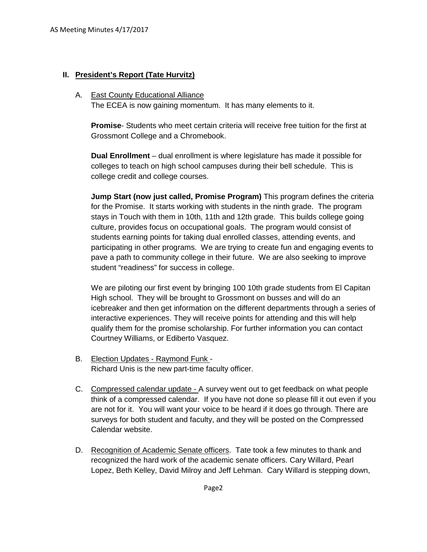### **II. President's Report (Tate Hurvitz)**

#### A. East County Educational Alliance

The ECEA is now gaining momentum. It has many elements to it.

**Promise**- Students who meet certain criteria will receive free tuition for the first at Grossmont College and a Chromebook.

**Dual Enrollment** – dual enrollment is where legislature has made it possible for colleges to teach on high school campuses during their bell schedule. This is college credit and college courses.

**Jump Start (now just called, Promise Program)** This program defines the criteria for the Promise. It starts working with students in the ninth grade. The program stays in Touch with them in 10th, 11th and 12th grade. This builds college going culture, provides focus on occupational goals. The program would consist of students earning points for taking dual enrolled classes, attending events, and participating in other programs. We are trying to create fun and engaging events to pave a path to community college in their future. We are also seeking to improve student "readiness" for success in college.

We are piloting our first event by bringing 100 10th grade students from El Capitan High school. They will be brought to Grossmont on busses and will do an icebreaker and then get information on the different departments through a series of interactive experiences. They will receive points for attending and this will help qualify them for the promise scholarship. For further information you can contact Courtney Williams, or Ediberto Vasquez.

- B. Election Updates Raymond Funk Richard Unis is the new part-time faculty officer.
- C. Compressed calendar update A survey went out to get feedback on what people think of a compressed calendar. If you have not done so please fill it out even if you are not for it. You will want your voice to be heard if it does go through. There are surveys for both student and faculty, and they will be posted on the Compressed Calendar website.
- D. Recognition of Academic Senate officers. Tate took a few minutes to thank and recognized the hard work of the academic senate officers. Cary Willard, Pearl Lopez, Beth Kelley, David Milroy and Jeff Lehman. Cary Willard is stepping down,